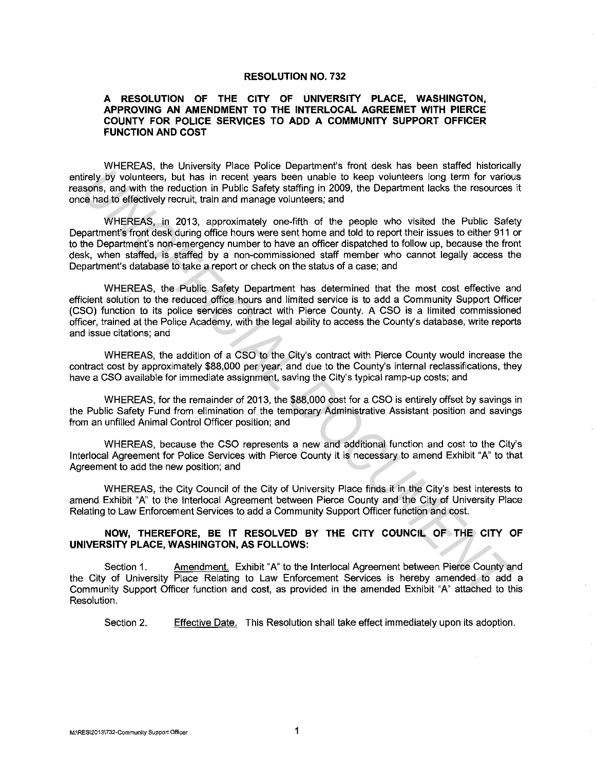#### **RESOLUTION NO. 732**

## **A RESOLUTION OF THE CITY OF UNIVERSITY PLACE, WASHINGTON, APPROVING AN AMENDMENT TO THE INTERLOCAL AGREEMET WITH PIERCE COUNTY FOR POLICE SERVICES TO ADD A COMMUNITY SUPPORT OFFICER FUNCTION AND COST**

WHEREAS, the University Place Police Department's front desk has been staffed historically entirely by volunteers, but has in recent years been unable to keep volunteers long term for various reasons, and with the reduction in Public Safety staffing in 2009, the Department lacks the resources it once had to effectively recruit, train and manage volunteers; and

WHEREAS, in 2013, approximately one-fifth of the people who visited the Public Safety Department's front desk during office hours were sent home and told to report their issues to either 911 or to the Department's non-emergency number to have an officer dispatched to follow up, because the front desk, when staffed, is staffed by a non-commissioned staff member who cannot legally access the Department's database to take a report or check on the status of a case; and irely *By* volunteers, but here in the reduction in Public Safety and the case of the case of the state of the state of the state of the central state of the reduction in Public Safety as first that is the central many cou

WHEREAS, the Public Safety Department has determined that the most cost effective and efficient solution to the reduced office hours and limited service is to add a Community Support Officer (CSO) function to its police services contract with Pierce County. A CSO is a limited commissioned officer, trained at the Police Academy, with the legal ability to access the County's database, write reports and issue citations; and

WHEREAS, the addition of a CSO to the City's contract with Pierce County would increase the contract cost by approximately \$88,000 per year, and due to the County's internal reclassifications, they have a CSO available for immediate assignment, saving the City's typical ramp-up costs; and

WHEREAS, for the remainder of 2013, the \$88,000 cost for a CSO is entirely offset by savings in the Public Safety Fund from elimination of the temporary Administrative Assistant position and savings from an unfilled Animal Control Officer position; and

WHEREAS, because the CSO represents a new and additional function and cost to the City's lnterlocal Agreement for Police Services with Pierce County it is necessary to amend Exhibit "A" to that Agreement to add the new position; and

WHEREAS, the City Council of the City of University Place finds it in the City's best interests to amend Exhibit "A" to the lnterlocal Agreement between Pierce County and the City of University Place Relating to Law Enforcement Services to add a Community Support Officer function and cost.

### **NOW, THEREFORE, BE IT RESOLVED BY THE CITY COUNCIL OF THE CITY OF UNIVERSITY PLACE, WASHINGTON, AS FOLLOWS:**

Section 1. Amendment. Exhibit "A" to the Interlocal Agreement between Pierce County and the City of University Place Relating to Law Enforcement Services is hereby amended to add a Community Support Officer function and cost, as provided in the amended Exhibit "A" attached to this Resolution.

Section 2. Effective Date. This Resolution shall take effect immediately upon its adoption.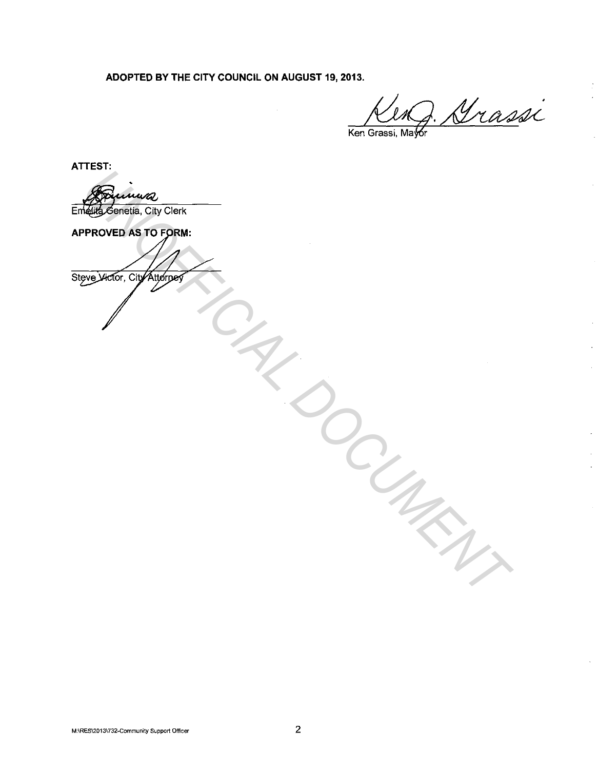ADOPTED BY THE CITY COUNCIL ON AUGUST 19, 2013.

Keng. Grassi

ATTEST:

Emelita Genetia, City Clerk

**SEPTROVED AS TO FORM:**<br>APPROVED AS TO FORM:<br>SEPTROVED AS TO FORM: